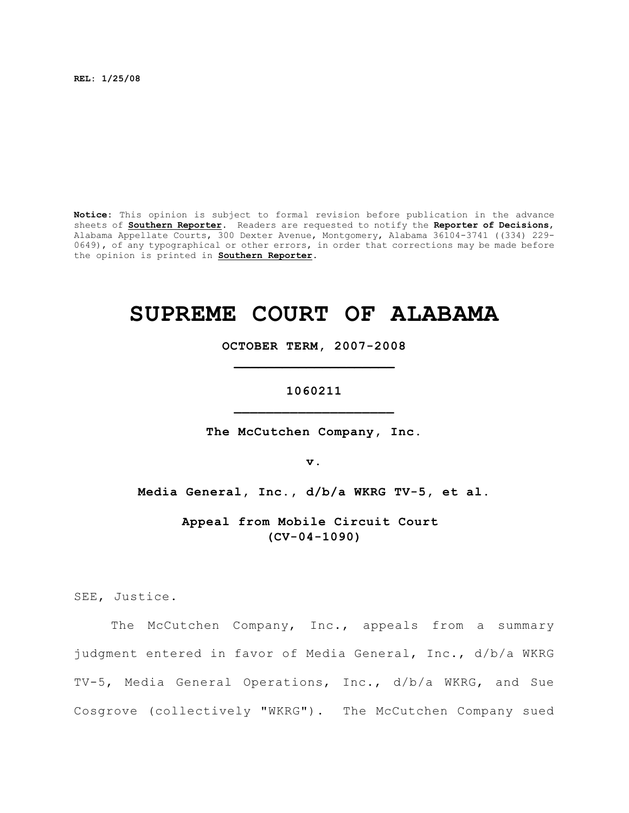**REL: 1/25/08**

**Notice:** This opinion is subject to formal revision before publication in the advance sheets of **Southern Reporter**. Readers are requested to notify the **Reporter of Decisions**, Alabama Appellate Courts, 300 Dexter Avenue, Montgomery, Alabama 36104-3741 ((334) 229- 0649), of any typographical or other errors, in order that corrections may be made before the opinion is printed in **Southern Reporter**.

# **SUPREME COURT OF ALABAMA**

**OCTOBER TERM, 2007-2008 \_\_\_\_\_\_\_\_\_\_\_\_\_\_\_\_\_\_\_\_**

**1060211 \_\_\_\_\_\_\_\_\_\_\_\_\_\_\_\_\_\_\_\_**

**The McCutchen Company, Inc.**

**v.**

**Media General, Inc., d/b/a WKRG TV-5, et al.**

**Appeal from Mobile Circuit Court (CV-04-1090)**

SEE, Justice.

The McCutchen Company, Inc., appeals from a summary judgment entered in favor of Media General, Inc., d/b/a WKRG TV-5, Media General Operations, Inc., d/b/a WKRG, and Sue Cosgrove (collectively "WKRG"). The McCutchen Company sued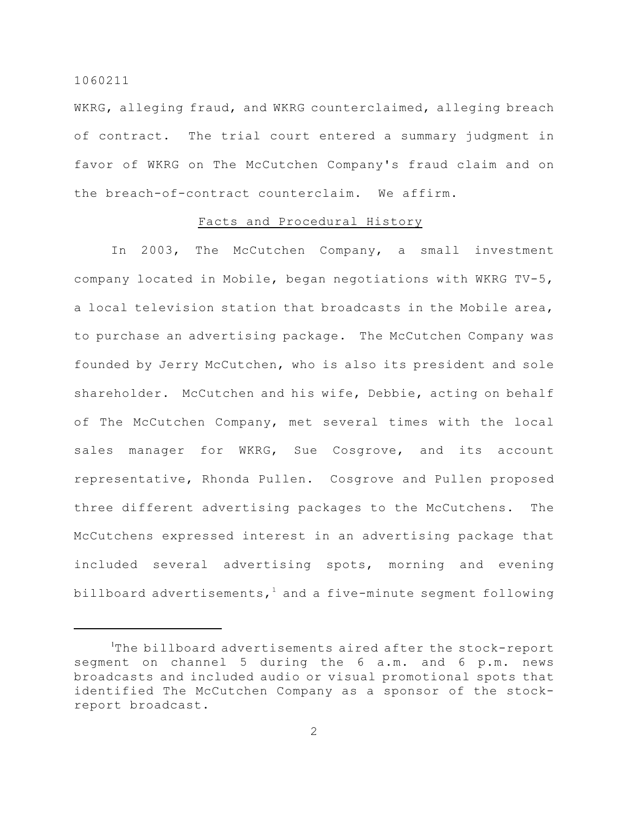WKRG, alleging fraud, and WKRG counterclaimed, alleging breach of contract. The trial court entered a summary judgment in favor of WKRG on The McCutchen Company's fraud claim and on the breach-of-contract counterclaim. We affirm.

#### Facts and Procedural History

In 2003, The McCutchen Company, a small investment company located in Mobile, began negotiations with WKRG TV-5, a local television station that broadcasts in the Mobile area, to purchase an advertising package. The McCutchen Company was founded by Jerry McCutchen, who is also its president and sole shareholder. McCutchen and his wife, Debbie, acting on behalf of The McCutchen Company, met several times with the local sales manager for WKRG, Sue Cosgrove, and its account representative, Rhonda Pullen. Cosgrove and Pullen proposed three different advertising packages to the McCutchens. The McCutchens expressed interest in an advertising package that included several advertising spots, morning and evening billboard advertisements,<sup>1</sup> and a five-minute segment following

 ${}^{1}$ The billboard advertisements aired after the stock-report segment on channel 5 during the 6 a.m. and 6 p.m. news broadcasts and included audio or visual promotional spots that identified The McCutchen Company as a sponsor of the stockreport broadcast.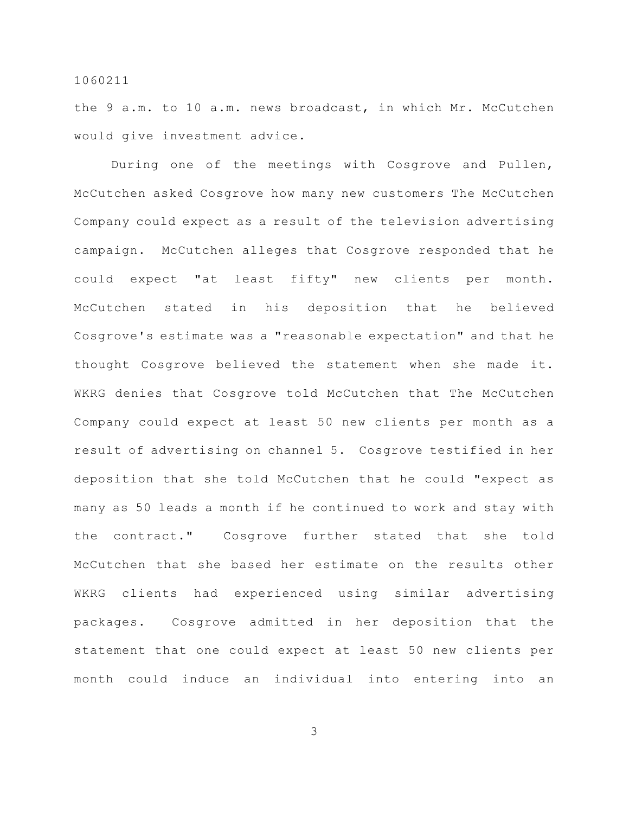the 9 a.m. to 10 a.m. news broadcast, in which Mr. McCutchen would give investment advice.

During one of the meetings with Cosgrove and Pullen, McCutchen asked Cosgrove how many new customers The McCutchen Company could expect as a result of the television advertising campaign. McCutchen alleges that Cosgrove responded that he could expect "at least fifty" new clients per month. McCutchen stated in his deposition that he believed Cosgrove's estimate was a "reasonable expectation" and that he thought Cosgrove believed the statement when she made it. WKRG denies that Cosgrove told McCutchen that The McCutchen Company could expect at least 50 new clients per month as a result of advertising on channel 5. Cosgrove testified in her deposition that she told McCutchen that he could "expect as many as 50 leads a month if he continued to work and stay with the contract." Cosgrove further stated that she told McCutchen that she based her estimate on the results other WKRG clients had experienced using similar advertising packages. Cosgrove admitted in her deposition that the statement that one could expect at least 50 new clients per month could induce an individual into entering into an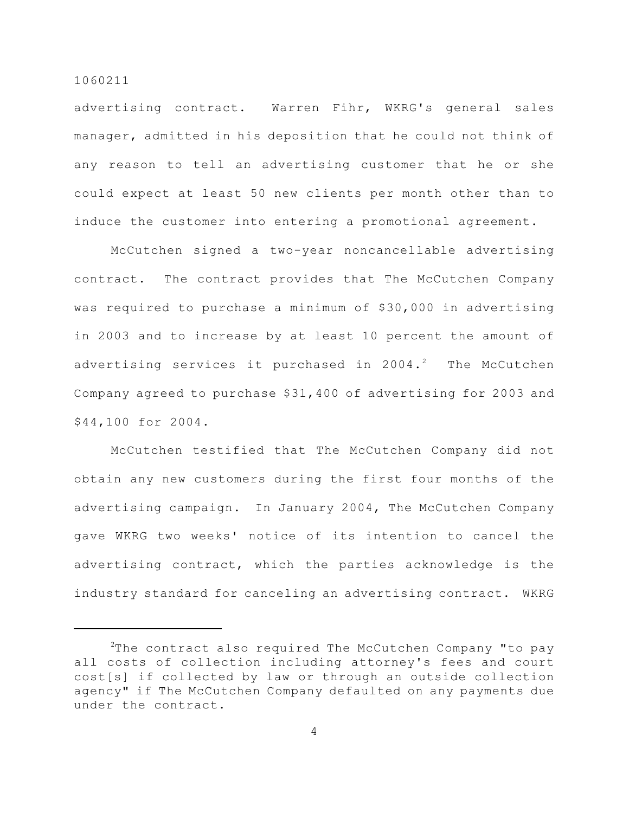advertising contract. Warren Fihr, WKRG's general sales manager, admitted in his deposition that he could not think of any reason to tell an advertising customer that he or she could expect at least 50 new clients per month other than to induce the customer into entering a promotional agreement.

McCutchen signed a two-year noncancellable advertising contract. The contract provides that The McCutchen Company was required to purchase a minimum of \$30,000 in advertising in 2003 and to increase by at least 10 percent the amount of advertising services it purchased in  $2004.^2$  The McCutchen Company agreed to purchase \$31,400 of advertising for 2003 and \$44,100 for 2004.

McCutchen testified that The McCutchen Company did not obtain any new customers during the first four months of the advertising campaign. In January 2004, The McCutchen Company gave WKRG two weeks' notice of its intention to cancel the advertising contract, which the parties acknowledge is the industry standard for canceling an advertising contract. WKRG

 $2$ The contract also required The McCutchen Company "to pay all costs of collection including attorney's fees and court cost[s] if collected by law or through an outside collection agency" if The McCutchen Company defaulted on any payments due under the contract.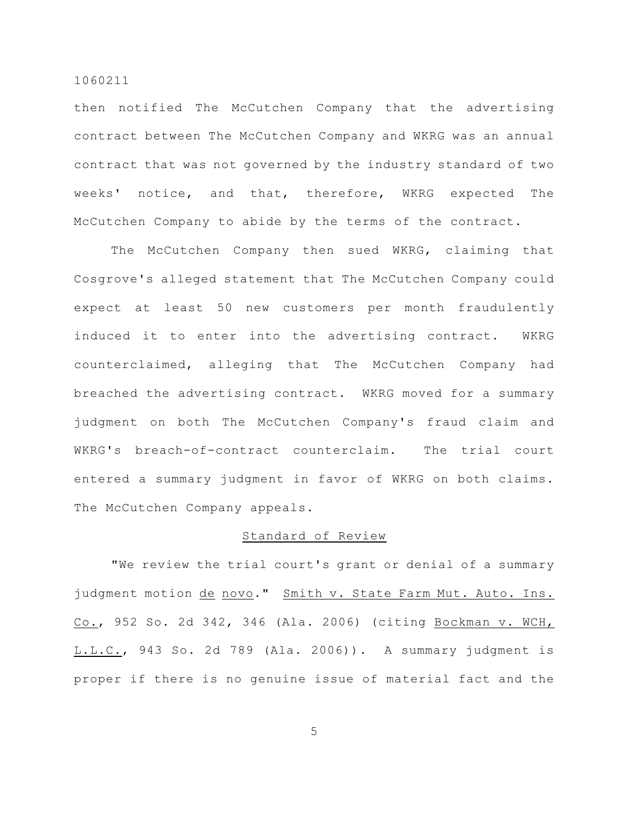then notified The McCutchen Company that the advertising contract between The McCutchen Company and WKRG was an annual contract that was not governed by the industry standard of two weeks' notice, and that, therefore, WKRG expected The McCutchen Company to abide by the terms of the contract.

The McCutchen Company then sued WKRG, claiming that Cosgrove's alleged statement that The McCutchen Company could expect at least 50 new customers per month fraudulently induced it to enter into the advertising contract. WKRG counterclaimed, alleging that The McCutchen Company had breached the advertising contract. WKRG moved for a summary judgment on both The McCutchen Company's fraud claim and WKRG's breach-of-contract counterclaim. The trial court entered a summary judgment in favor of WKRG on both claims. The McCutchen Company appeals.

# Standard of Review

"We review the trial court's grant or denial of a summary judgment motion de novo." Smith v. State Farm Mut. Auto. Ins. Co., 952 So. 2d 342, 346 (Ala. 2006) (citing Bockman v. WCH, L.L.C., 943 So. 2d 789 (Ala. 2006)). A summary judgment is proper if there is no genuine issue of material fact and the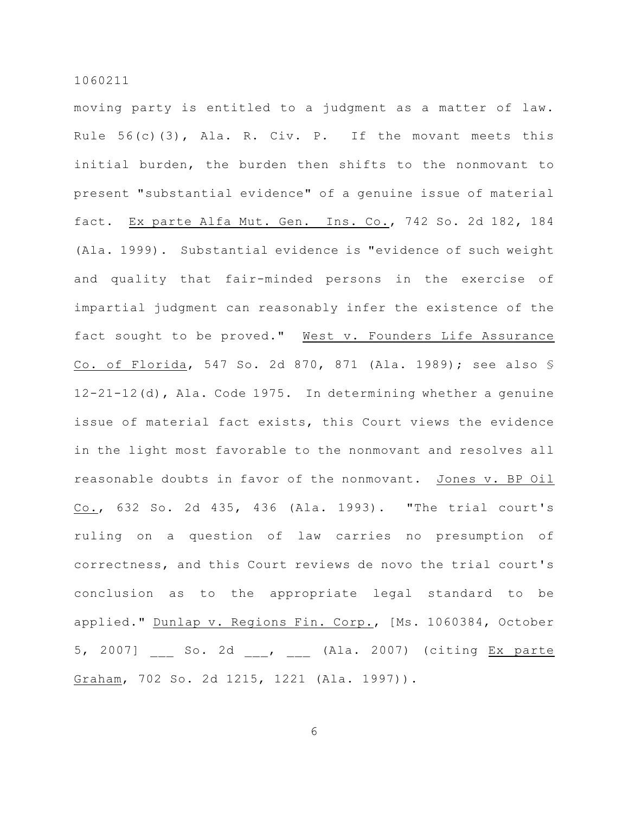moving party is entitled to a judgment as a matter of law. Rule 56(c)(3), Ala. R. Civ. P. If the movant meets this initial burden, the burden then shifts to the nonmovant to present "substantial evidence" of a genuine issue of material fact. Ex parte Alfa Mut. Gen. Ins. Co., 742 So. 2d 182, 184 (Ala. 1999). Substantial evidence is "evidence of such weight and quality that fair-minded persons in the exercise of impartial judgment can reasonably infer the existence of the fact sought to be proved." West v. Founders Life Assurance Co. of Florida, 547 So. 2d 870, 871 (Ala. 1989); see also § 12-21-12(d), Ala. Code 1975. In determining whether a genuine issue of material fact exists, this Court views the evidence in the light most favorable to the nonmovant and resolves all reasonable doubts in favor of the nonmovant. Jones v. BP Oil Co., 632 So. 2d 435, 436 (Ala. 1993). "The trial court's ruling on a question of law carries no presumption of correctness, and this Court reviews de novo the trial court's conclusion as to the appropriate legal standard to be applied." Dunlap v. Regions Fin. Corp., [Ms. 1060384, October 5, 2007] \_\_\_ So. 2d \_\_\_, \_\_\_ (Ala. 2007) (citing Ex parte Graham, 702 So. 2d 1215, 1221 (Ala. 1997)).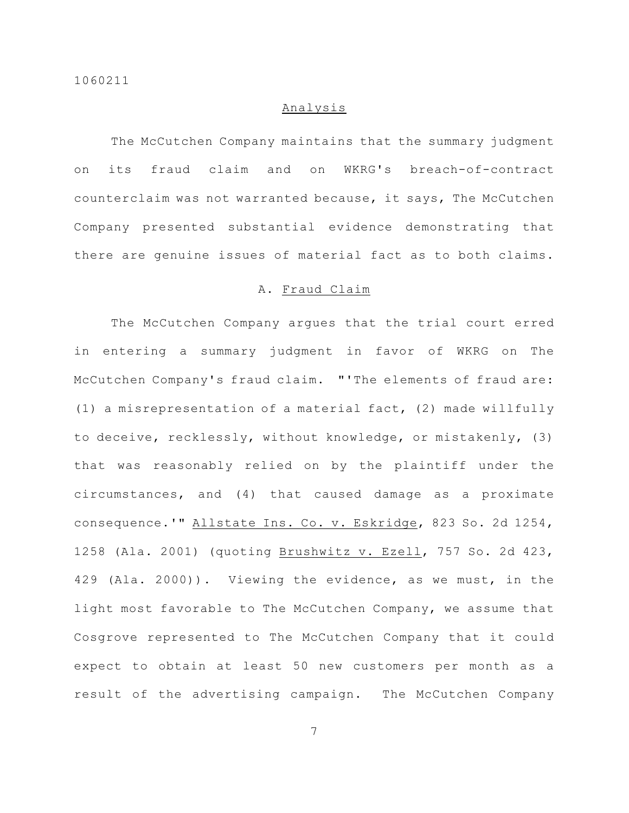# Analysis

The McCutchen Company maintains that the summary judgment on its fraud claim and on WKRG's breach-of-contract counterclaim was not warranted because, it says, The McCutchen Company presented substantial evidence demonstrating that there are genuine issues of material fact as to both claims.

# A. Fraud Claim

The McCutchen Company argues that the trial court erred in entering a summary judgment in favor of WKRG on The McCutchen Company's fraud claim. "'The elements of fraud are: (1) a misrepresentation of a material fact, (2) made willfully to deceive, recklessly, without knowledge, or mistakenly, (3) that was reasonably relied on by the plaintiff under the circumstances, and (4) that caused damage as a proximate consequence.'" Allstate Ins. Co. v. Eskridge, 823 So. 2d 1254, 1258 (Ala. 2001) (quoting Brushwitz v. Ezell, 757 So. 2d 423, 429 (Ala. 2000)). Viewing the evidence, as we must, in the light most favorable to The McCutchen Company, we assume that Cosgrove represented to The McCutchen Company that it could expect to obtain at least 50 new customers per month as a result of the advertising campaign. The McCutchen Company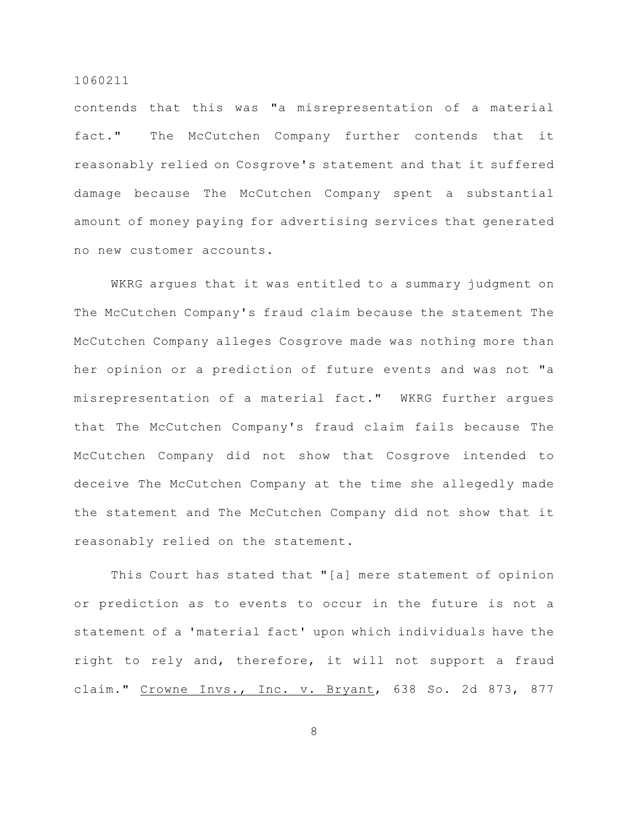contends that this was "a misrepresentation of a material fact." The McCutchen Company further contends that it reasonably relied on Cosgrove's statement and that it suffered damage because The McCutchen Company spent a substantial amount of money paying for advertising services that generated no new customer accounts.

WKRG argues that it was entitled to a summary judgment on The McCutchen Company's fraud claim because the statement The McCutchen Company alleges Cosgrove made was nothing more than her opinion or a prediction of future events and was not "a misrepresentation of a material fact." WKRG further argues that The McCutchen Company's fraud claim fails because The McCutchen Company did not show that Cosgrove intended to deceive The McCutchen Company at the time she allegedly made the statement and The McCutchen Company did not show that it reasonably relied on the statement.

This Court has stated that "[a] mere statement of opinion or prediction as to events to occur in the future is not a statement of a 'material fact' upon which individuals have the right to rely and, therefore, it will not support a fraud claim." Crowne Invs., Inc. v. Bryant, 638 So. 2d 873, 877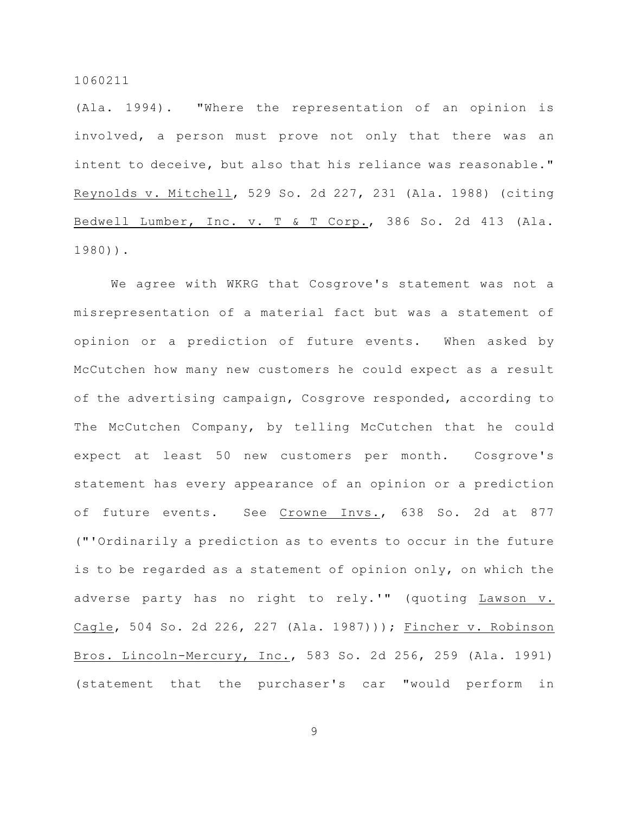(Ala. 1994). "Where the representation of an opinion is involved, a person must prove not only that there was an intent to deceive, but also that his reliance was reasonable." Reynolds v. Mitchell, 529 So. 2d 227, 231 (Ala. 1988) (citing Bedwell Lumber, Inc. v. T & T Corp., 386 So. 2d 413 (Ala. 1980)).

We agree with WKRG that Cosgrove's statement was not a misrepresentation of a material fact but was a statement of opinion or a prediction of future events. When asked by McCutchen how many new customers he could expect as a result of the advertising campaign, Cosgrove responded, according to The McCutchen Company, by telling McCutchen that he could expect at least 50 new customers per month. Cosgrove's statement has every appearance of an opinion or a prediction of future events. See Crowne Invs., 638 So. 2d at 877 ("'Ordinarily a prediction as to events to occur in the future is to be regarded as a statement of opinion only, on which the adverse party has no right to rely.'" (quoting Lawson v. Cagle, 504 So. 2d 226, 227 (Ala. 1987))); Fincher v. Robinson Bros. Lincoln-Mercury, Inc., 583 So. 2d 256, 259 (Ala. 1991) (statement that the purchaser's car "would perform in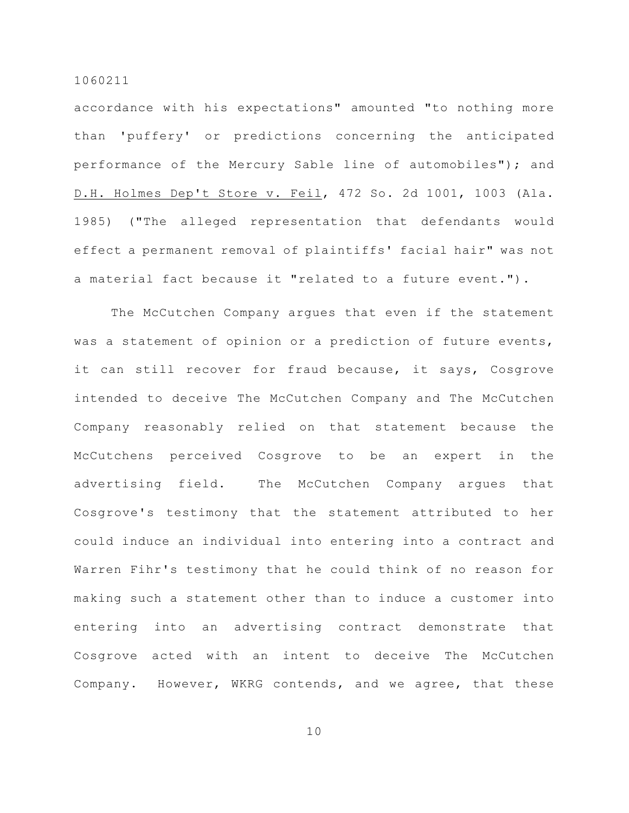accordance with his expectations" amounted "to nothing more than 'puffery' or predictions concerning the anticipated performance of the Mercury Sable line of automobiles"); and D.H. Holmes Dep't Store v. Feil, 472 So. 2d 1001, 1003 (Ala. 1985) ("The alleged representation that defendants would effect a permanent removal of plaintiffs' facial hair" was not a material fact because it "related to a future event.").

The McCutchen Company argues that even if the statement was a statement of opinion or a prediction of future events, it can still recover for fraud because, it says, Cosgrove intended to deceive The McCutchen Company and The McCutchen Company reasonably relied on that statement because the McCutchens perceived Cosgrove to be an expert in the advertising field. The McCutchen Company argues that Cosgrove's testimony that the statement attributed to her could induce an individual into entering into a contract and Warren Fihr's testimony that he could think of no reason for making such a statement other than to induce a customer into entering into an advertising contract demonstrate that Cosgrove acted with an intent to deceive The McCutchen Company. However, WKRG contends, and we agree, that these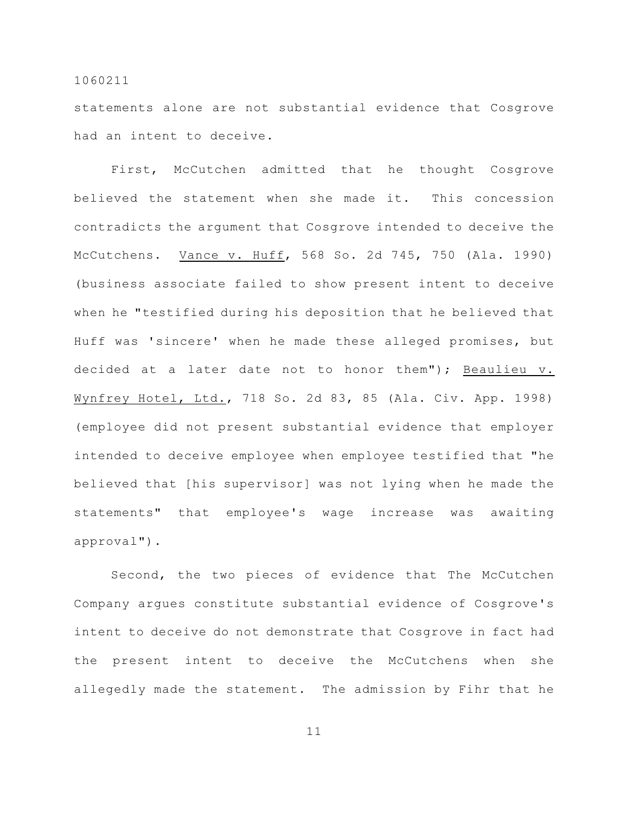statements alone are not substantial evidence that Cosgrove had an intent to deceive.

First, McCutchen admitted that he thought Cosgrove believed the statement when she made it. This concession contradicts the argument that Cosgrove intended to deceive the McCutchens. Vance v. Huff, 568 So. 2d 745, 750 (Ala. 1990) (business associate failed to show present intent to deceive when he "testified during his deposition that he believed that Huff was 'sincere' when he made these alleged promises, but decided at a later date not to honor them"); Beaulieu v. Wynfrey Hotel, Ltd., 718 So. 2d 83, 85 (Ala. Civ. App. 1998) (employee did not present substantial evidence that employer intended to deceive employee when employee testified that "he believed that [his supervisor] was not lying when he made the statements" that employee's wage increase was awaiting approval").

Second, the two pieces of evidence that The McCutchen Company argues constitute substantial evidence of Cosgrove's intent to deceive do not demonstrate that Cosgrove in fact had the present intent to deceive the McCutchens when she allegedly made the statement. The admission by Fihr that he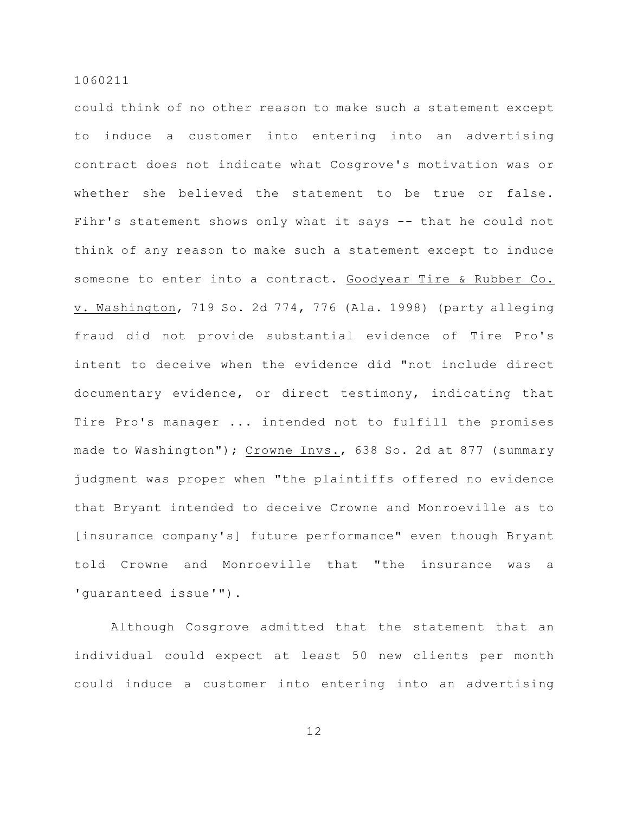could think of no other reason to make such a statement except to induce a customer into entering into an advertising contract does not indicate what Cosgrove's motivation was or whether she believed the statement to be true or false. Fihr's statement shows only what it says -- that he could not think of any reason to make such a statement except to induce someone to enter into a contract. Goodyear Tire & Rubber Co. v. Washington, 719 So. 2d 774, 776 (Ala. 1998) (party alleging fraud did not provide substantial evidence of Tire Pro's intent to deceive when the evidence did "not include direct documentary evidence, or direct testimony, indicating that Tire Pro's manager ... intended not to fulfill the promises made to Washington"); Crowne Invs., 638 So. 2d at 877 (summary judgment was proper when "the plaintiffs offered no evidence that Bryant intended to deceive Crowne and Monroeville as to [insurance company's] future performance" even though Bryant told Crowne and Monroeville that "the insurance was a 'guaranteed issue'").

Although Cosgrove admitted that the statement that an individual could expect at least 50 new clients per month could induce a customer into entering into an advertising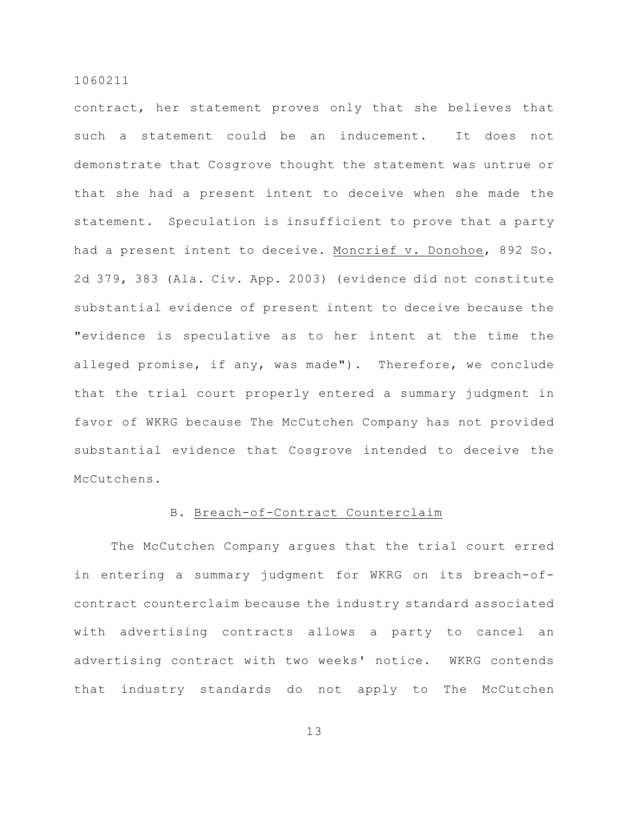contract, her statement proves only that she believes that such a statement could be an inducement. It does not demonstrate that Cosgrove thought the statement was untrue or that she had a present intent to deceive when she made the statement. Speculation is insufficient to prove that a party had a present intent to deceive. Moncrief v. Donohoe, 892 So. 2d 379, 383 (Ala. Civ. App. 2003) (evidence did not constitute substantial evidence of present intent to deceive because the "evidence is speculative as to her intent at the time the alleged promise, if any, was made"). Therefore, we conclude that the trial court properly entered a summary judgment in favor of WKRG because The McCutchen Company has not provided substantial evidence that Cosgrove intended to deceive the McCutchens.

## B. Breach-of-Contract Counterclaim

The McCutchen Company argues that the trial court erred in entering a summary judgment for WKRG on its breach-ofcontract counterclaim because the industry standard associated with advertising contracts allows a party to cancel an advertising contract with two weeks' notice. WKRG contends that industry standards do not apply to The McCutchen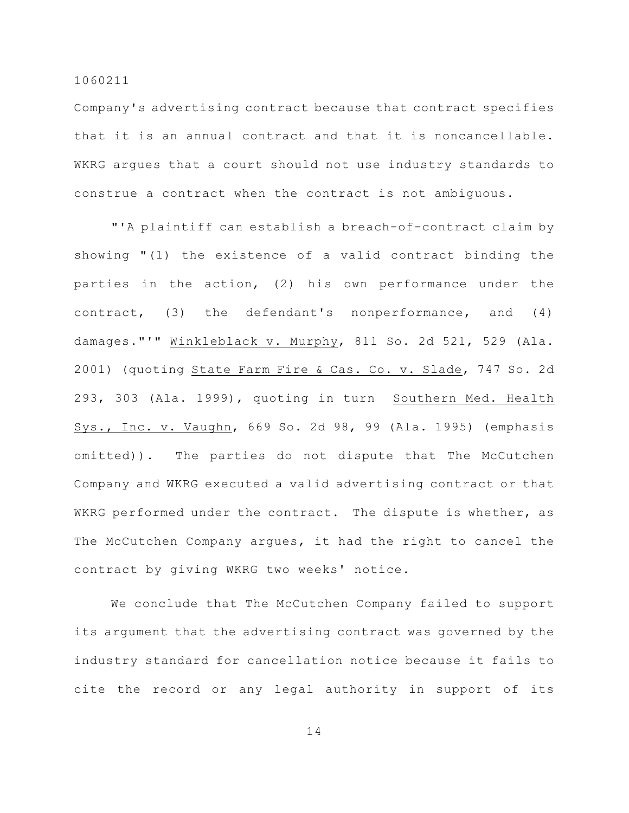Company's advertising contract because that contract specifies that it is an annual contract and that it is noncancellable. WKRG argues that a court should not use industry standards to construe a contract when the contract is not ambiguous.

"'A plaintiff can establish a breach-of-contract claim by showing "(1) the existence of a valid contract binding the parties in the action, (2) his own performance under the contract, (3) the defendant's nonperformance, and (4) damages."'" Winkleblack v. Murphy, 811 So. 2d 521, 529 (Ala. 2001) (quoting State Farm Fire & Cas. Co. v. Slade, 747 So. 2d 293, 303 (Ala. 1999), quoting in turn Southern Med. Health Sys., Inc. v. Vaughn, 669 So. 2d 98, 99 (Ala. 1995) (emphasis omitted)). The parties do not dispute that The McCutchen Company and WKRG executed a valid advertising contract or that WKRG performed under the contract. The dispute is whether, as The McCutchen Company argues, it had the right to cancel the contract by giving WKRG two weeks' notice.

We conclude that The McCutchen Company failed to support its argument that the advertising contract was governed by the industry standard for cancellation notice because it fails to cite the record or any legal authority in support of its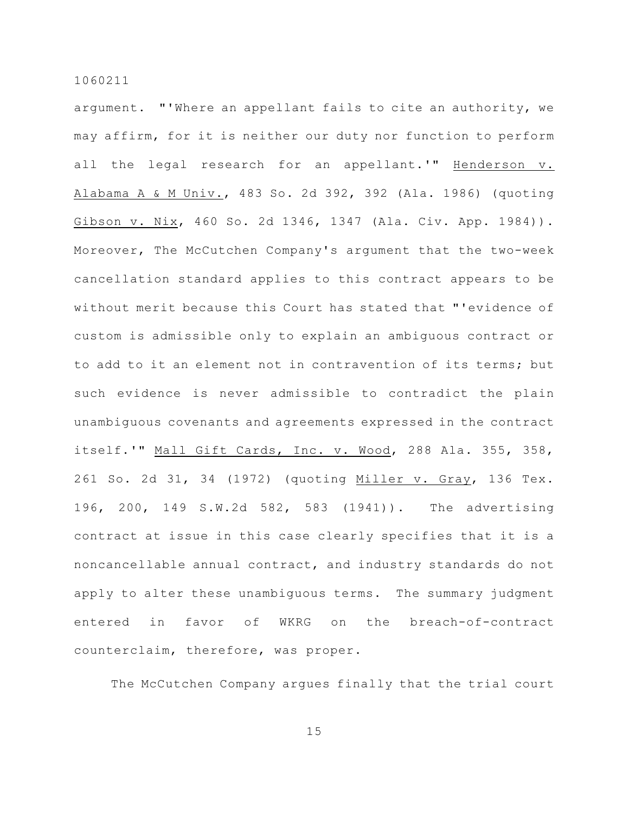argument. "'Where an appellant fails to cite an authority, we may affirm, for it is neither our duty nor function to perform all the legal research for an appellant.'" Henderson v. Alabama A & M Univ., 483 So. 2d 392, 392 (Ala. 1986) (quoting Gibson v. Nix, 460 So. 2d 1346, 1347 (Ala. Civ. App. 1984)). Moreover, The McCutchen Company's argument that the two-week cancellation standard applies to this contract appears to be without merit because this Court has stated that "'evidence of custom is admissible only to explain an ambiguous contract or to add to it an element not in contravention of its terms; but such evidence is never admissible to contradict the plain unambiguous covenants and agreements expressed in the contract itself.'" Mall Gift Cards, Inc. v. Wood, 288 Ala. 355, 358, 261 So. 2d 31, 34 (1972) (quoting Miller v. Gray, 136 Tex. 196, 200, 149 S.W.2d 582, 583 (1941)). The advertising contract at issue in this case clearly specifies that it is a noncancellable annual contract, and industry standards do not apply to alter these unambiguous terms. The summary judgment entered in favor of WKRG on the breach-of-contract counterclaim, therefore, was proper.

The McCutchen Company argues finally that the trial court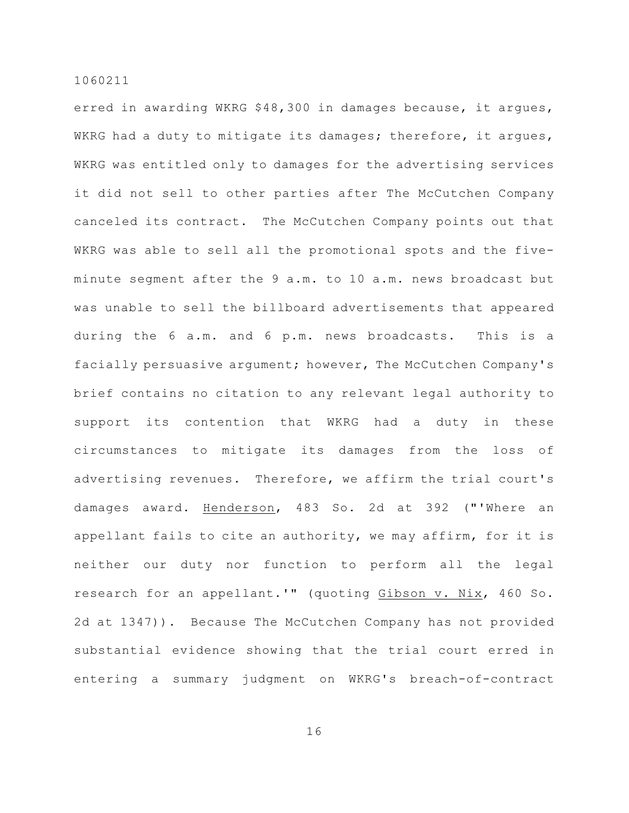erred in awarding WKRG \$48,300 in damages because, it argues, WKRG had a duty to mitigate its damages; therefore, it argues, WKRG was entitled only to damages for the advertising services it did not sell to other parties after The McCutchen Company canceled its contract. The McCutchen Company points out that WKRG was able to sell all the promotional spots and the fiveminute segment after the 9 a.m. to 10 a.m. news broadcast but was unable to sell the billboard advertisements that appeared during the 6 a.m. and 6 p.m. news broadcasts. This is a facially persuasive argument; however, The McCutchen Company's brief contains no citation to any relevant legal authority to support its contention that WKRG had a duty in these circumstances to mitigate its damages from the loss of advertising revenues. Therefore, we affirm the trial court's damages award. Henderson, 483 So. 2d at 392 ("'Where an appellant fails to cite an authority, we may affirm, for it is neither our duty nor function to perform all the legal research for an appellant.'" (quoting Gibson v. Nix, 460 So. 2d at 1347)). Because The McCutchen Company has not provided substantial evidence showing that the trial court erred in entering a summary judgment on WKRG's breach-of-contract